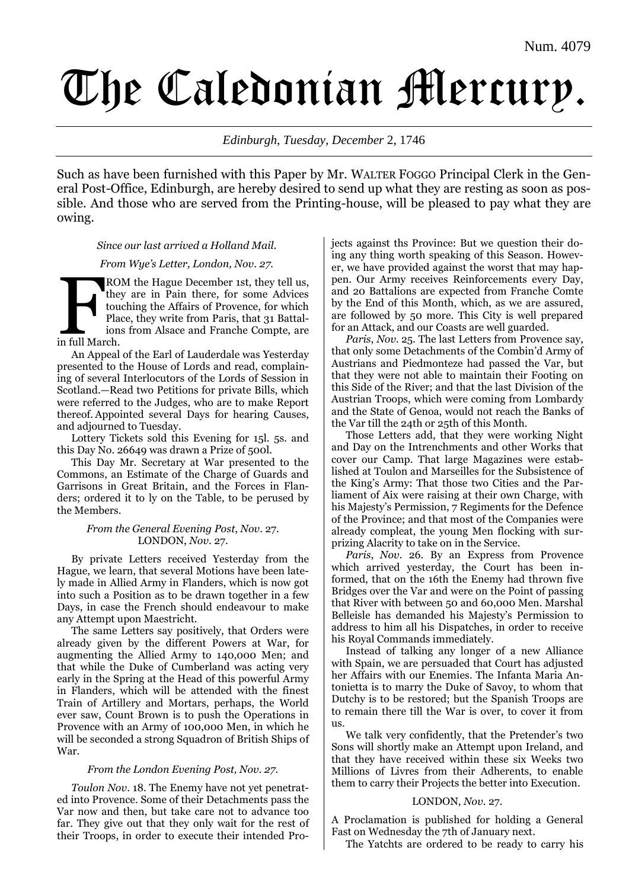# The Caledonian Mercury.

*Edinburgh*, *Tuesday, December* 2, 1746

Such as have been furnished with this Paper by Mr. WALTER FOGGO Principal Clerk in the General Post-Office, Edinburgh, are hereby desired to send up what they are resting as soon as possible. And those who are served from the Printing-house, will be pleased to pay what they are owing.

*Since our last arrived a Holland Mail.*

# *From Wye's Letter, London, Nov. 27.*

ROM the Hague December 1st, they tell us, they are in Pain there, for some Advices touching the Affairs of Provence, for which Place, they write from Paris, that 31 Battalions from Alsace and Franche Compte, are RO<br>
the tourned the plan<br>
in full March.

An Appeal of the Earl of Lauderdale was Yesterday presented to the House of Lords and read, complaining of several Interlocutors of the Lords of Session in Scotland.—Read two Petitions for private Bills, which were referred to the Judges, who are to make Report thereof. Appointed several Days for hearing Causes, and adjourned to Tuesday.

Lottery Tickets sold this Evening for 15l. 5s. and this Day No. 26649 was drawn a Prize of 500l.

This Day Mr. Secretary at War presented to the Commons, an Estimate of the Charge of Guards and Garrisons in Great Britain, and the Forces in Flanders; ordered it to ly on the Table, to be perused by the Members.

#### *From the General Evening Post*, *Nov*. 27. LONDON, *Nov*. 27.

By private Letters received Yesterday from the Hague, we learn, that several Motions have been lately made in Allied Army in Flanders, which is now got into such a Position as to be drawn together in a few Days, in case the French should endeavour to make any Attempt upon Maestricht.

The same Letters say positively, that Orders were already given by the different Powers at War, for augmenting the Allied Army to 140,000 Men; and that while the Duke of Cumberland was acting very early in the Spring at the Head of this powerful Army in Flanders, which will be attended with the finest Train of Artillery and Mortars, perhaps, the World ever saw, Count Brown is to push the Operations in Provence with an Army of 100,000 Men, in which he will be seconded a strong Squadron of British Ships of War.

# *From the London Evening Post, Nov. 27.*

*Toulon Nov*. 18. The Enemy have not yet penetrated into Provence. Some of their Detachments pass the Var now and then, but take care not to advance too far. They give out that they only wait for the rest of their Troops, in order to execute their intended Projects against ths Province: But we question their doing any thing worth speaking of this Season. However, we have provided against the worst that may happen. Our Army receives Reinforcements every Day, and 20 Battalions are expected from Franche Comte by the End of this Month, which, as we are assured, are followed by 50 more. This City is well prepared for an Attack, and our Coasts are well guarded.

*Paris*, *Nov.* 25. The last Letters from Provence say, that only some Detachments of the Combin'd Army of Austrians and Piedmonteze had passed the Var, but that they were not able to maintain their Footing on this Side of the River; and that the last Division of the Austrian Troops, which were coming from Lombardy and the State of Genoa, would not reach the Banks of the Var till the 24th or 25th of this Month.

Those Letters add, that they were working Night and Day on the Intrenchments and other Works that cover our Camp. That large Magazines were established at Toulon and Marseilles for the Subsistence of the King's Army: That those two Cities and the Parliament of Aix were raising at their own Charge, with his Majesty's Permission, 7 Regiments for the Defence of the Province; and that most of the Companies were already compleat, the young Men flocking with surprizing Alacrity to take on in the Service.

*Paris*, *Nov.* 26. By an Express from Provence which arrived yesterday, the Court has been informed, that on the 16th the Enemy had thrown five Bridges over the Var and were on the Point of passing that River with between 50 and 60,000 Men. Marshal Belleisle has demanded his Majesty's Permission to address to him all his Dispatches, in order to receive his Royal Commands immediately.

Instead of talking any longer of a new Alliance with Spain, we are persuaded that Court has adjusted her Affairs with our Enemies. The Infanta Maria Antonietta is to marry the Duke of Savoy, to whom that Dutchy is to be restored; but the Spanish Troops are to remain there till the War is over, to cover it from us.

We talk very confidently, that the Pretender's two Sons will shortly make an Attempt upon Ireland, and that they have received within these six Weeks two Millions of Livres from their Adherents, to enable them to carry their Projects the better into Execution.

#### LONDON, *Nov*. 27.

A Proclamation is published for holding a General Fast on Wednesday the 7th of January next.

The Yatchts are ordered to be ready to carry his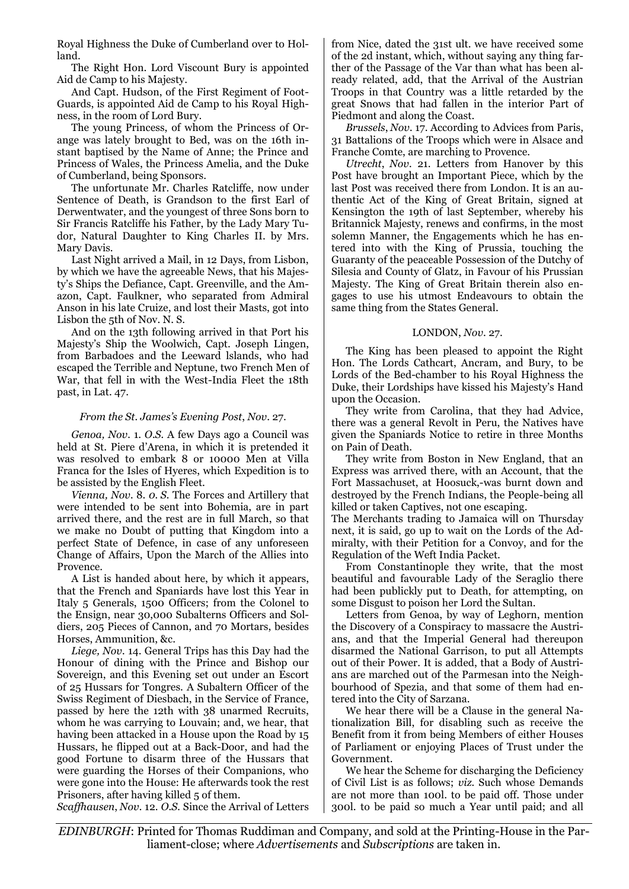Royal Highness the Duke of Cumberland over to Holland.

The Right Hon. Lord Viscount Bury is appointed Aid de Camp to his Majesty.

And Capt. Hudson, of the First Regiment of Foot-Guards, is appointed Aid de Camp to his Royal Highness, in the room of Lord Bury.

The young Princess, of whom the Princess of Orange was lately brought to Bed, was on the 16th instant baptised by the Name of Anne; the Prince and Princess of Wales, the Princess Amelia, and the Duke of Cumberland, being Sponsors.

The unfortunate Mr. Charles Ratcliffe, now under Sentence of Death, is Grandson to the first Earl of Derwentwater, and the youngest of three Sons born to Sir Francis Ratcliffe his Father, by the Lady Mary Tudor, Natural Daughter to King Charles II. by Mrs. Mary Davis.

Last Night arrived a Mail, in 12 Days, from Lisbon, by which we have the agreeable News, that his Majesty's Ships the Defiance, Capt. Greenville, and the Amazon, Capt. Faulkner, who separated from Admiral Anson in his late Cruize, and lost their Masts, got into Lisbon the 5th of Nov. N. S.

And on the 13th following arrived in that Port his Majesty's Ship the Woolwich, Capt. Joseph Lingen, from Barbadoes and the Leeward lslands, who had escaped the Terrible and Neptune, two French Men of War, that fell in with the West-India Fleet the 18th past, in Lat. 47.

#### *From the St. James's Evening Post*, *Nov*. 27.

*Genoa, Nov.* 1. *O.S.* A few Days ago a Council was held at St. Piere d'Arena, in which it is pretended it was resolved to embark 8 or 10000 Men at Villa Franca for the Isles of Hyeres, which Expedition is to be assisted by the English Fleet.

*Vienna, Nov.* 8. *0. S.* The Forces and Artillery that were intended to be sent into Bohemia, are in part arrived there, and the rest are in full March, so that we make no Doubt of putting that Kingdom into a perfect State of Defence, in case of any unforeseen Change of Affairs, Upon the March of the Allies into Provence.

A List is handed about here, by which it appears, that the French and Spaniards have lost this Year in Italy 5 Generals, 1500 Officers; from the Colonel to the Ensign, near 30,000 Subalterns Officers and Soldiers, 205 Pieces of Cannon, and 70 Mortars, besides Horses, Ammunition, &c.

*Liege, Nov.* 14. General Trips has this Day had the Honour of dining with the Prince and Bishop our Sovereign, and this Evening set out under an Escort of 25 Hussars for Tongres. A Subaltern Officer of the Swiss Regiment of Diesbach, in the Service of France, passed by here the 12th with 38 unarmed Recruits, whom he was carrying to Louvain; and, we hear, that having been attacked in a House upon the Road by 15 Hussars, he flipped out at a Back-Door, and had the good Fortune to disarm three of the Hussars that were guarding the Horses of their Companions, who were gone into the House: He afterwards took the rest Prisoners, after having killed 5 of them.

*Scaffhausen*, *Nov.* 12. *O.S.* Since the Arrival of Letters

from Nice, dated the 31st ult. we have received some of the 2d instant, which, without saying any thing farther of the Passage of the Var than what has been already related, add, that the Arrival of the Austrian Troops in that Country was a little retarded by the great Snows that had fallen in the interior Part of Piedmont and along the Coast.

*Brussels*, *Nov.* 17. According to Advices from Paris, 31 Battalions of the Troops which were in Alsace and Franche Comte, are marching to Provence.

*Utrecht*, *Nov.* 21. Letters from Hanover by this Post have brought an Important Piece, which by the last Post was received there from London. It is an authentic Act of the King of Great Britain, signed at Kensington the 19th of last September, whereby his Britannick Majesty, renews and confirms, in the most solemn Manner, the Engagements which he has entered into with the King of Prussia, touching the Guaranty of the peaceable Possession of the Dutchy of Silesia and County of Glatz, in Favour of his Prussian Majesty. The King of Great Britain therein also engages to use his utmost Endeavours to obtain the same thing from the States General.

#### LONDON, *Nov*. 27.

The King has been pleased to appoint the Right Hon. The Lords Cathcart, Ancram, and Bury, to be Lords of the Bed-chamber to his Royal Highness the Duke, their Lordships have kissed his Majesty's Hand upon the Occasion.

They write from Carolina, that they had Advice, there was a general Revolt in Peru, the Natives have given the Spaniards Notice to retire in three Months on Pain of Death.

They write from Boston in New England, that an Express was arrived there, with an Account, that the Fort Massachuset, at Hoosuck,-was burnt down and destroyed by the French Indians, the People-being all killed or taken Captives, not one escaping.

The Merchants trading to Jamaica will on Thursday next, it is said, go up to wait on the Lords of the Admiralty, with their Petition for a Convoy, and for the Regulation of the Weft India Packet.

From Constantinople they write, that the most beautiful and favourable Lady of the Seraglio there had been publickly put to Death, for attempting, on some Disgust to poison her Lord the Sultan.

Letters from Genoa, by way of Leghorn, mention the Discovery of a Conspiracy to massacre the Austrians, and that the Imperial General had thereupon disarmed the National Garrison, to put all Attempts out of their Power. It is added, that a Body of Austrians are marched out of the Parmesan into the Neighbourhood of Spezia, and that some of them had entered into the City of Sarzana.

We hear there will be a Clause in the general Nationalization Bill, for disabling such as receive the Benefit from it from being Members of either Houses of Parliament or enjoying Places of Trust under the Government.

We hear the Scheme for discharging the Deficiency of Civil List is as follows; *viz.* Such whose Demands are not more than 100l. to be paid off. Those under 300l. to be paid so much a Year until paid; and all

*EDINBURGH*: Printed for Thomas Ruddiman and Company, and sold at the Printing-House in the Parliament-close; where *Advertisements* and *Subscriptions* are taken in.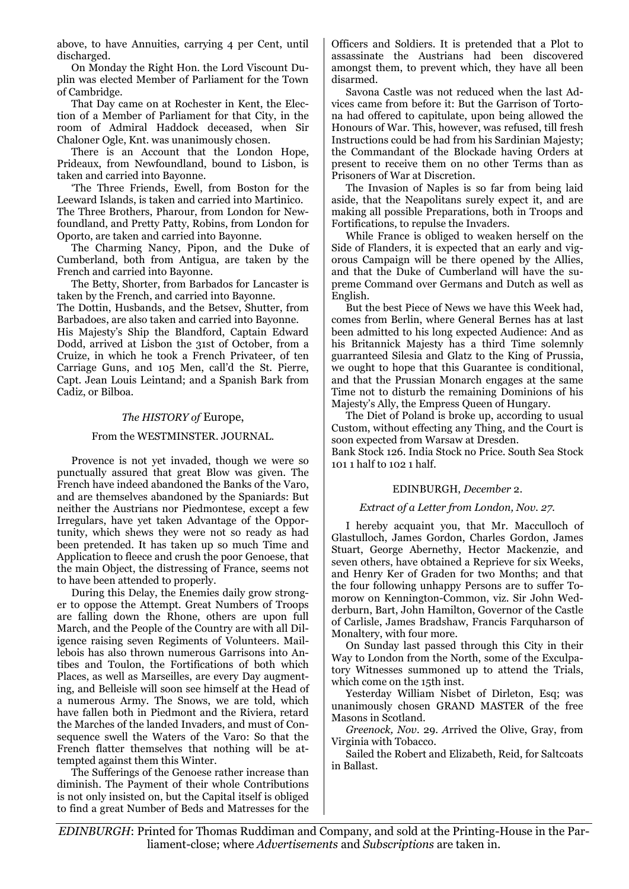above, to have Annuities, carrying 4 per Cent, until discharged.

On Monday the Right Hon. the Lord Viscount Duplin was elected Member of Parliament for the Town of Cambridge.

That Day came on at Rochester in Kent, the Election of a Member of Parliament for that City, in the room of Admiral Haddock deceased, when Sir Chaloner Ogle, Knt. was unanimously chosen.

There is an Account that the London Hope, Prideaux, from Newfoundland, bound to Lisbon, is taken and carried into Bayonne.

'The Three Friends, Ewell, from Boston for the Leeward Islands, is taken and carried into Martinico. The Three Brothers, Pharour, from London for Newfoundland, and Pretty Patty, Robins, from London for Oporto, are taken and carried into Bayonne.

The Charming Nancy, Pipon, and the Duke of Cumberland, both from Antigua, are taken by the French and carried into Bayonne.

The Betty, Shorter, from Barbados for Lancaster is taken by the French, and carried into Bayonne.

The Dottin, Husbands, and the Betsev, Shutter, from Barbadoes, are also taken and carried into Bayonne.

His Majesty's Ship the Blandford, Captain Edward Dodd, arrived at Lisbon the 31st of October, from a Cruize, in which he took a French Privateer, of ten Carriage Guns, and 105 Men, call'd the St. Pierre, Capt. Jean Louis Leintand; and a Spanish Bark from Cadiz, or Bilboa.

#### *The HISTORY of* Europe,

#### From the WESTMINSTER. JOURNAL.

Provence is not yet invaded, though we were so punctually assured that great Blow was given. The French have indeed abandoned the Banks of the Varo, and are themselves abandoned by the Spaniards: But neither the Austrians nor Piedmontese, except a few Irregulars, have yet taken Advantage of the Opportunity, which shews they were not so ready as had been pretended. It has taken up so much Time and Application to fleece and crush the poor Genoese, that the main Object, the distressing of France, seems not to have been attended to properly.

During this Delay, the Enemies daily grow stronger to oppose the Attempt. Great Numbers of Troops are falling down the Rhone, others are upon full March, and the People of the Country are with all Diligence raising seven Regiments of Volunteers. Maillebois has also thrown numerous Garrisons into Antibes and Toulon, the Fortifications of both which Places, as well as Marseilles, are every Day augmenting, and Belleisle will soon see himself at the Head of a numerous Army. The Snows, we are told, which have fallen both in Piedmont and the Riviera, retard the Marches of the landed Invaders, and must of Consequence swell the Waters of the Varo: So that the French flatter themselves that nothing will be attempted against them this Winter.

The Sufferings of the Genoese rather increase than diminish. The Payment of their whole Contributions is not only insisted on, but the Capital itself is obliged to find a great Number of Beds and Matresses for the Officers and Soldiers. It is pretended that a Plot to assassinate the Austrians had been discovered amongst them, to prevent which, they have all been disarmed.

Savona Castle was not reduced when the last Advices came from before it: But the Garrison of Tortona had offered to capitulate, upon being allowed the Honours of War. This, however, was refused, till fresh Instructions could be had from his Sardinian Majesty; the Commandant of the Blockade having Orders at present to receive them on no other Terms than as Prisoners of War at Discretion.

The Invasion of Naples is so far from being laid aside, that the Neapolitans surely expect it, and are making all possible Preparations, both in Troops and Fortifications, to repulse the Invaders.

While France is obliged to weaken herself on the Side of Flanders, it is expected that an early and vigorous Campaign will be there opened by the Allies, and that the Duke of Cumberland will have the supreme Command over Germans and Dutch as well as English.

But the best Piece of News we have this Week had, comes from Berlin, where General Bernes has at last been admitted to his long expected Audience: And as his Britannick Majesty has a third Time solemnly guarranteed Silesia and Glatz to the King of Prussia, we ought to hope that this Guarantee is conditional, and that the Prussian Monarch engages at the same Time not to disturb the remaining Dominions of his Majesty's Ally, the Empress Queen of Hungary.

The Diet of Poland is broke up, according to usual Custom, without effecting any Thing, and the Court is soon expected from Warsaw at Dresden. Bank Stock 126. India Stock no Price. South Sea Stock 101 1 half to 102 1 half.

# EDINBURGH, *December* 2.

#### *Extract of a Letter from London, Nov. 27.*

I hereby acquaint you, that Mr. Macculloch of Glastulloch, James Gordon, Charles Gordon, James Stuart, George Abernethy, Hector Mackenzie, and seven others, have obtained a Reprieve for six Weeks, and Henry Ker of Graden for two Months; and that the four following unhappy Persons are to suffer Tomorow on Kennington-Common, viz. Sir John Wedderburn, Bart, John Hamilton, Governor of the Castle of Carlisle, James Bradshaw, Francis Farquharson of Monaltery, with four more.

On Sunday last passed through this City in their Way to London from the North, some of the Exculpatory Witnesses summoned up to attend the Trials, which come on the 15th inst.

Yesterday William Nisbet of Dirleton, Esq; was unanimously chosen GRAND MASTER of the free Masons in Scotland.

*Greenock, Nov.* 29. *A*rrived the Olive, Gray, from Virginia with Tobacco.

Sailed the Robert and Elizabeth, Reid, for Saltcoats in Ballast.

*EDINBURGH*: Printed for Thomas Ruddiman and Company, and sold at the Printing-House in the Parliament-close; where *Advertisements* and *Subscriptions* are taken in.